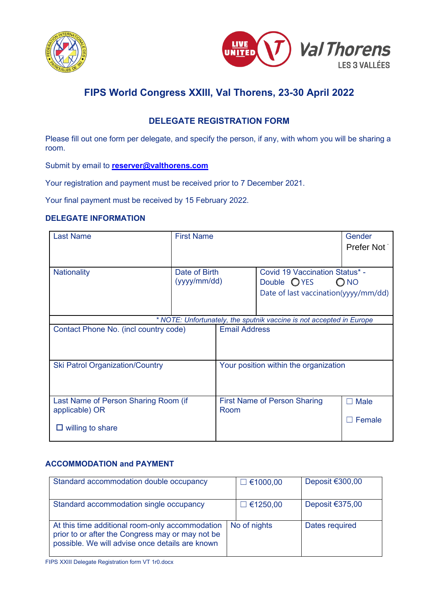



## **DELEGATE REGISTRATION FORM**

Please fill out one form per delegate, and specify the person, if any, with whom you will be sharing a room.

Submit by email to **[reserver@valthorens.com](mailto:reserver@valthorens.com?subject=FIPS%20World%20Congress%20XXIII)**

Your registration and payment must be received prior to 7 December 2021.

Your final payment must be received by 15 February 2022.

### **DELEGATE INFORMATION**

| <b>Last Name</b>                                                     | <b>First Name</b>             |                      |                                                                                                          | Gender<br>Prefer Not |
|----------------------------------------------------------------------|-------------------------------|----------------------|----------------------------------------------------------------------------------------------------------|----------------------|
| <b>Nationality</b>                                                   | Date of Birth<br>(yyyy/mm/dd) |                      | Covid 19 Vaccination Status* -<br>Double OYES<br>O <sub>NO</sub><br>Date of last vaccination(yyyy/mm/dd) |                      |
| * NOTE: Unfortunately, the sputnik vaccine is not accepted in Europe |                               |                      |                                                                                                          |                      |
| Contact Phone No. (incl country code)                                |                               | <b>Email Address</b> |                                                                                                          |                      |
| <b>Ski Patrol Organization/Country</b>                               |                               |                      | Your position within the organization                                                                    |                      |
| Last Name of Person Sharing Room (if<br>applicable) OR               |                               | Room                 | <b>First Name of Person Sharing</b>                                                                      | <b>Male</b>          |
| willing to share<br>ப                                                |                               |                      |                                                                                                          | Female               |

## **ACCOMMODATION and PAYMENT**

| Standard accommodation double occupancy                                                                                                                | $\Box$ €1000,00 | Deposit $€300,00$ |
|--------------------------------------------------------------------------------------------------------------------------------------------------------|-----------------|-------------------|
| Standard accommodation single occupancy                                                                                                                | $\Box$ €1250,00 | Deposit $€375,00$ |
| At this time additional room-only accommodation<br>prior to or after the Congress may or may not be<br>possible. We will advise once details are known | No of nights    | Dates required    |

FIPS XXIII Delegate Registration form VT 1r0.docx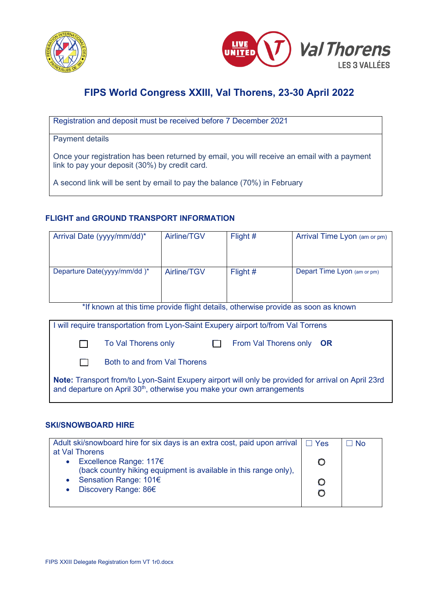



Registration and deposit must be received before 7 December 2021

Payment details

Once your registration has been returned by email, you will receive an email with a payment link to pay your deposit (30%) by credit card.

A second link will be sent by email to pay the balance (70%) in February

### **FLIGHT and GROUND TRANSPORT INFORMATION**

| Arrival Date (yyyy/mm/dd)*  | Airline/TGV | Flight $#$ | Arrival Time Lyon (am or pm) |
|-----------------------------|-------------|------------|------------------------------|
|                             |             |            |                              |
| Departure Date(yyyy/mm/dd)* | Airline/TGV | Flight #   | Depart Time Lyon (am or pm)  |
|                             |             |            |                              |

\*If known at this time provide flight details, otherwise provide as soon as known

| I will require transportation from Lyon-Saint Exupery airport to/from Val Torrens                                                                                                        |              |                              |  |                          |  |
|------------------------------------------------------------------------------------------------------------------------------------------------------------------------------------------|--------------|------------------------------|--|--------------------------|--|
|                                                                                                                                                                                          | $\mathbf{1}$ | To Val Thorens only          |  | From Val Thorens only OR |  |
|                                                                                                                                                                                          |              | Both to and from Val Thorens |  |                          |  |
| Note: Transport from/to Lyon-Saint Exupery airport will only be provided for arrival on April 23rd<br>and departure on April 30 <sup>th</sup> , otherwise you make your own arrangements |              |                              |  |                          |  |

### **SKI/SNOWBOARD HIRE**

| Adult ski/snowboard hire for six days is an extra cost, paid upon arrival $\Box$ Yes | ∃ No |
|--------------------------------------------------------------------------------------|------|
| at Val Thorens                                                                       |      |
| Excellence Range: 117€                                                               |      |
| (back country hiking equipment is available in this range only),                     |      |
| Sensation Range: 101€                                                                |      |
| Discovery Range: 86€                                                                 |      |
|                                                                                      |      |
|                                                                                      |      |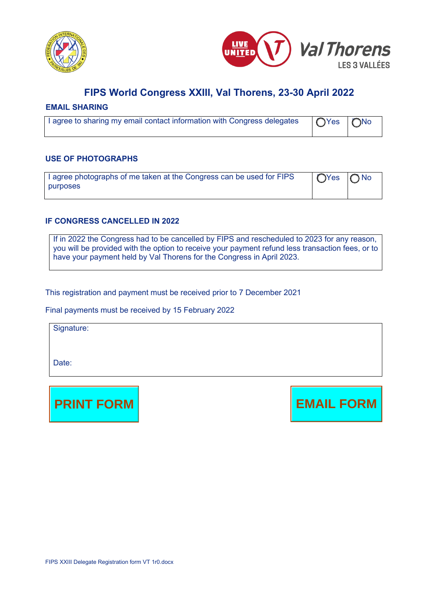



#### **EMAIL SHARING**

| Tagree to sharing my email contact information with Congress delegates   ○ Yes   ○ No |  |
|---------------------------------------------------------------------------------------|--|
|                                                                                       |  |

#### **USE OF PHOTOGRAPHS**

| I agree photographs of me taken at the Congress can be used for FIPS | $\bigcap$ Yes $\bigcap$ No |  |
|----------------------------------------------------------------------|----------------------------|--|
| purposes                                                             |                            |  |
|                                                                      |                            |  |

#### **IF CONGRESS CANCELLED IN 2022**

If in 2022 the Congress had to be cancelled by FIPS and rescheduled to 2023 for any reason, you will be provided with the option to receive your payment refund less transaction fees, or to have your payment held by Val Thorens for the Congress in April 2023.

This registration and payment must be received prior to 7 December 2021

Final payments must be received by 15 February 2022

Signature:

Date: